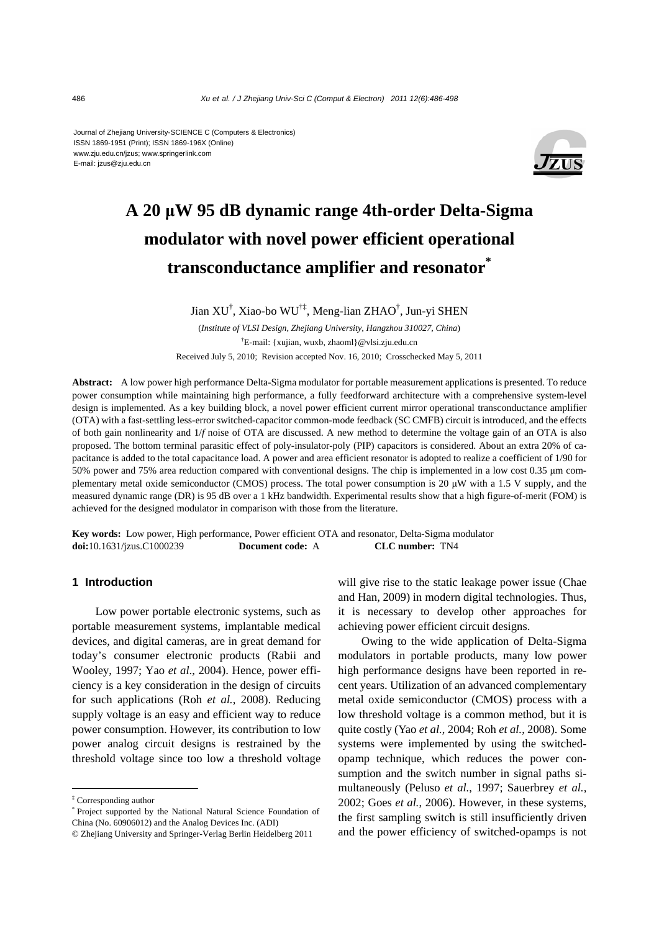#### Journal of Zhejiang University-SCIENCE C (Computers & Electronics) ISSN 1869-1951 (Print); ISSN 1869-196X (Online) www.zju.edu.cn/jzus; www.springerlink.com E-mail: jzus@zju.edu.cn



# **A 20 μW 95 dB dynamic range 4th-order Delta-Sigma modulator with novel power efficient operational transconductance amplifier and resonator\***

Jian XU† , Xiao-bo WU†‡, Meng-lian ZHAO† , Jun-yi SHEN

(*Institute of VLSI Design, Zhejiang University, Hangzhou 310027, China*) † E-mail: {xujian, wuxb, zhaoml}@vlsi.zju.edu.cn Received July 5, 2010; Revision accepted Nov. 16, 2010; Crosschecked May 5, 2011

**Abstract:** A low power high performance Delta-Sigma modulator for portable measurement applications is presented. To reduce power consumption while maintaining high performance, a fully feedforward architecture with a comprehensive system-level design is implemented. As a key building block, a novel power efficient current mirror operational transconductance amplifier (OTA) with a fast-settling less-error switched-capacitor common-mode feedback (SC CMFB) circuit is introduced, and the effects of both gain nonlinearity and 1/*f* noise of OTA are discussed. A new method to determine the voltage gain of an OTA is also proposed. The bottom terminal parasitic effect of poly-insulator-poly (PIP) capacitors is considered. About an extra 20% of capacitance is added to the total capacitance load. A power and area efficient resonator is adopted to realize a coefficient of 1/90 for 50% power and 75% area reduction compared with conventional designs. The chip is implemented in a low cost 0.35 μm complementary metal oxide semiconductor (CMOS) process. The total power consumption is 20  $\mu$ W with a 1.5 V supply, and the measured dynamic range (DR) is 95 dB over a 1 kHz bandwidth. Experimental results show that a high figure-of-merit (FOM) is achieved for the designed modulator in comparison with those from the literature.

**Key words:** Low power, High performance, Power efficient OTA and resonator, Delta-Sigma modulator **doi:**10.1631/jzus.C1000239 **Document code:** A **CLC number:** TN4

# **1 Introduction**

Low power portable electronic systems, such as portable measurement systems, implantable medical devices, and digital cameras, are in great demand for today's consumer electronic products (Rabii and Wooley, 1997; Yao *et al*., 2004). Hence, power efficiency is a key consideration in the design of circuits for such applications (Roh *et al.*, 2008). Reducing supply voltage is an easy and efficient way to reduce power consumption. However, its contribution to low power analog circuit designs is restrained by the threshold voltage since too low a threshold voltage

will give rise to the static leakage power issue (Chae and Han, 2009) in modern digital technologies. Thus, it is necessary to develop other approaches for achieving power efficient circuit designs.

Owing to the wide application of Delta-Sigma modulators in portable products, many low power high performance designs have been reported in recent years. Utilization of an advanced complementary metal oxide semiconductor (CMOS) process with a low threshold voltage is a common method, but it is quite costly (Yao *et al.*, 2004; Roh *et al.*, 2008). Some systems were implemented by using the switchedopamp technique, which reduces the power consumption and the switch number in signal paths simultaneously (Peluso *et al.*, 1997; Sauerbrey *et al.*, 2002; Goes *et al.*, 2006). However, in these systems, the first sampling switch is still insufficiently driven and the power efficiency of switched-opamps is not

<sup>‡</sup> Corresponding author

<sup>\*</sup> Project supported by the National Natural Science Foundation of China (No. 60906012) and the Analog Devices Inc. (ADI)

<sup>©</sup> Zhejiang University and Springer-Verlag Berlin Heidelberg 2011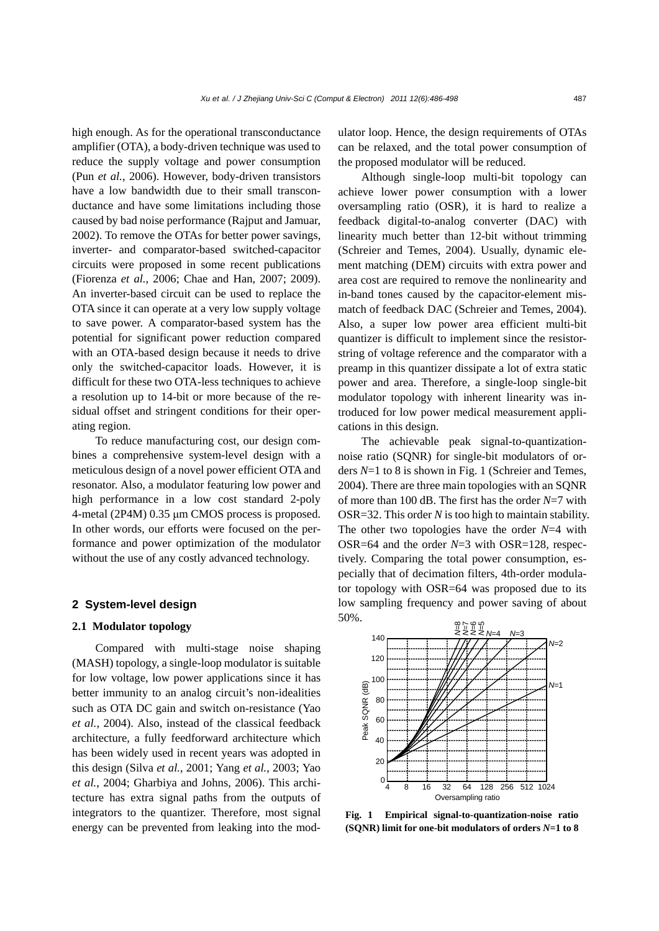high enough. As for the operational transconductance amplifier (OTA), a body-driven technique was used to reduce the supply voltage and power consumption (Pun *et al.*, 2006). However, body-driven transistors have a low bandwidth due to their small transconductance and have some limitations including those caused by bad noise performance (Rajput and Jamuar, 2002). To remove the OTAs for better power savings, inverter- and comparator-based switched-capacitor circuits were proposed in some recent publications (Fiorenza *et al.*, 2006; Chae and Han, 2007; 2009). An inverter-based circuit can be used to replace the OTA since it can operate at a very low supply voltage to save power. A comparator-based system has the potential for significant power reduction compared with an OTA-based design because it needs to drive only the switched-capacitor loads. However, it is difficult for these two OTA-less techniques to achieve a resolution up to 14-bit or more because of the residual offset and stringent conditions for their operating region.

To reduce manufacturing cost, our design combines a comprehensive system-level design with a meticulous design of a novel power efficient OTA and resonator. Also, a modulator featuring low power and high performance in a low cost standard 2-poly 4-metal (2P4M) 0.35 μm CMOS process is proposed. In other words, our efforts were focused on the performance and power optimization of the modulator without the use of any costly advanced technology.

# **2 System-level design**

# **2.1 Modulator topology**

Compared with multi-stage noise shaping (MASH) topology, a single-loop modulator is suitable for low voltage, low power applications since it has better immunity to an analog circuit's non-idealities such as OTA DC gain and switch on-resistance (Yao *et al.*, 2004). Also, instead of the classical feedback architecture, a fully feedforward architecture which has been widely used in recent years was adopted in this design (Silva *et al.*, 2001; Yang *et al.*, 2003; Yao *et al.*, 2004; Gharbiya and Johns, 2006). This architecture has extra signal paths from the outputs of integrators to the quantizer. Therefore, most signal energy can be prevented from leaking into the modulator loop. Hence, the design requirements of OTAs can be relaxed, and the total power consumption of the proposed modulator will be reduced.

Although single-loop multi-bit topology can achieve lower power consumption with a lower oversampling ratio (OSR), it is hard to realize a feedback digital-to-analog converter (DAC) with linearity much better than 12-bit without trimming (Schreier and Temes, 2004). Usually, dynamic element matching (DEM) circuits with extra power and area cost are required to remove the nonlinearity and in-band tones caused by the capacitor-element mismatch of feedback DAC (Schreier and Temes, 2004). Also, a super low power area efficient multi-bit quantizer is difficult to implement since the resistorstring of voltage reference and the comparator with a preamp in this quantizer dissipate a lot of extra static power and area. Therefore, a single-loop single-bit modulator topology with inherent linearity was introduced for low power medical measurement applications in this design.

The achievable peak signal-to-quantizationnoise ratio (SQNR) for single-bit modulators of orders *N*=1 to 8 is shown in Fig. 1 (Schreier and Temes, 2004). There are three main topologies with an SQNR of more than 100 dB. The first has the order *N*=7 with OSR=32. This order *N* is too high to maintain stability. The other two topologies have the order *N*=4 with OSR=64 and the order *N*=3 with OSR=128, respectively. Comparing the total power consumption, especially that of decimation filters, 4th-order modulator topology with OSR=64 was proposed due to its low sampling frequency and power saving of about 50%.



**Fig. 1 Empirical signal-to-quantization-noise ratio (SQNR) limit for one-bit modulators of orders** *N***=1 to 8**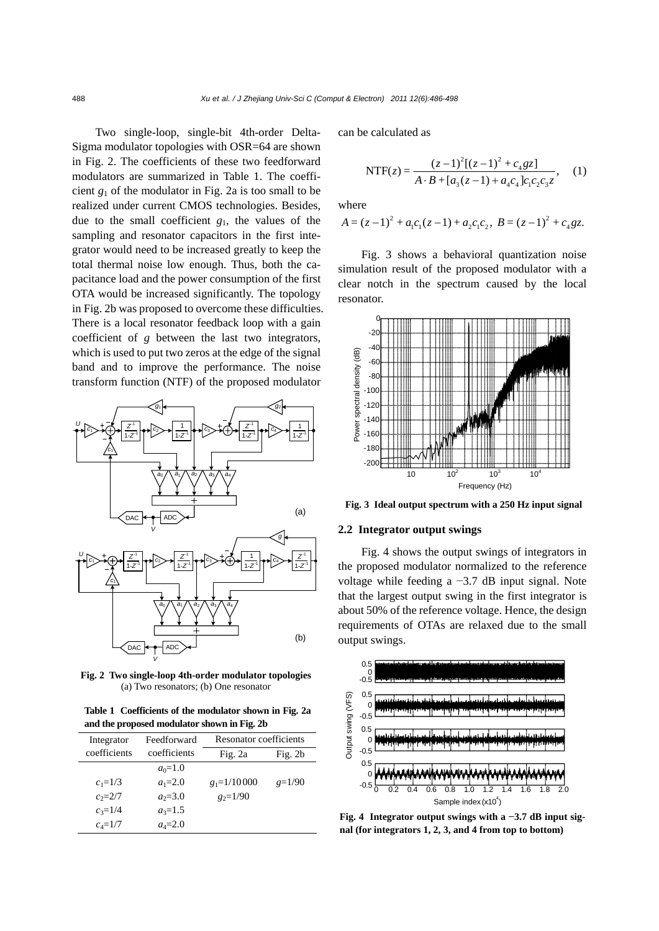Two single-loop, single-bit 4th-order Delta-Sigma modulator topologies with OSR=64 are shown in Fig. 2. The coefficients of these two feedforward modulators are summarized in Table 1. The coefficient  $g_1$  of the modulator in Fig. 2a is too small to be realized under current CMOS technologies. Besides, due to the small coefficient *g*1, the values of the sampling and resonator capacitors in the first integrator would need to be increased greatly to keep the total thermal noise low enough. Thus, both the capacitance load and the power consumption of the first OTA would be increased significantly. The topology in Fig. 2b was proposed to overcome these difficulties. There is a local resonator feedback loop with a gain coefficient of *g* between the last two integrators, which is used to put two zeros at the edge of the signal band and to improve the performance. The noise transform function (NTF) of the proposed modulator



**Fig. 2 Two single-loop 4th-order modulator topologies** (a) Two resonators; (b) One resonator

**Table 1 Coefficients of the modulator shown in Fig. 2a and the proposed modulator shown in Fig. 2b**

| Integrator   | Feedforward  | Resonator coefficients |           |
|--------------|--------------|------------------------|-----------|
| coefficients | coefficients | Fig. $2a$              | Fig. $2b$ |
|              | $a_0=1.0$    |                        |           |
| $c_1 = 1/3$  | $a_1 = 2.0$  | $g_1 = 1/10000$        | $g=1/90$  |
| $c_2 = 2/7$  | $a_2 = 3.0$  | $g_2=1/90$             |           |
| $c_3=1/4$    | $a_3=1.5$    |                        |           |
| $c_4 = 1/7$  | $a_4 = 2.0$  |                        |           |

can be calculated as

$$
NTF(z) = \frac{(z-1)^{2}[(z-1)^{2} + c_{4}gz]}{A \cdot B + [a_{3}(z-1) + a_{4}c_{4}]c_{1}c_{2}c_{3}z},
$$
 (1)

where

$$
A = (z-1)^2 + a_1c_1(z-1) + a_2c_1c_2, \ B = (z-1)^2 + c_4gz.
$$

Fig. 3 shows a behavioral quantization noise simulation result of the proposed modulator with a clear notch in the spectrum caused by the local resonator.



**Fig. 3 Ideal output spectrum with a 250 Hz input signal**

### **2.2 Integrator output swings**

Fig. 4 shows the output swings of integrators in the proposed modulator normalized to the reference voltage while feeding a −3.7 dB input signal. Note that the largest output swing in the first integrator is about 50% of the reference voltage. Hence, the design requirements of OTAs are relaxed due to the small output swings.



**Fig. 4 Integrator output swings with a −3.7 dB input signal (for integrators 1, 2, 3, and 4 from top to bottom)**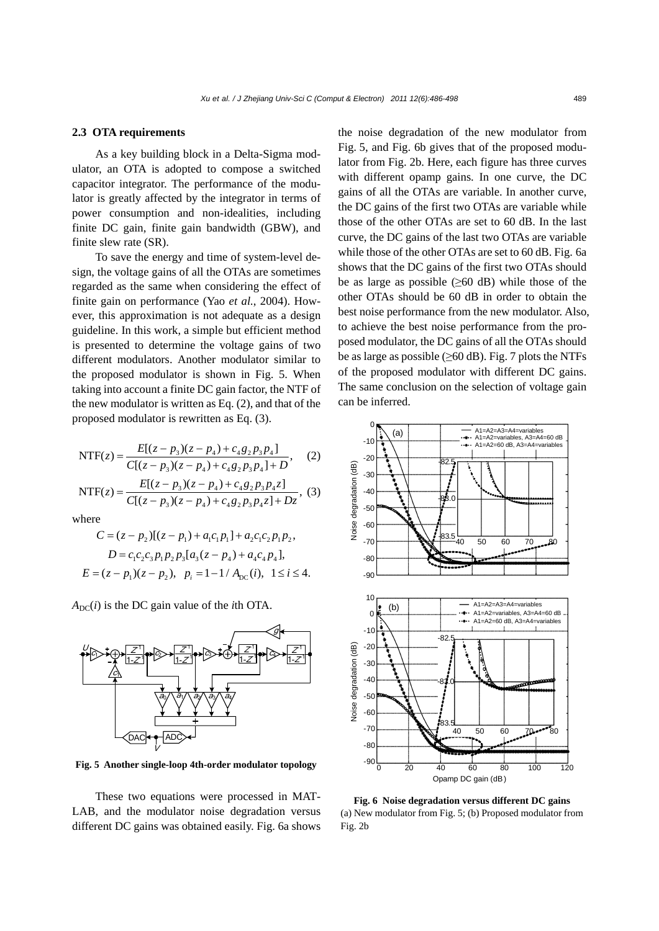## **2.3 OTA requirements**

As a key building block in a Delta-Sigma modulator, an OTA is adopted to compose a switched capacitor integrator. The performance of the modulator is greatly affected by the integrator in terms of power consumption and non-idealities, including finite DC gain, finite gain bandwidth (GBW), and finite slew rate (SR).

To save the energy and time of system-level design, the voltage gains of all the OTAs are sometimes regarded as the same when considering the effect of finite gain on performance (Yao *et al.*, 2004). However, this approximation is not adequate as a design guideline. In this work, a simple but efficient method is presented to determine the voltage gains of two different modulators. Another modulator similar to the proposed modulator is shown in Fig. 5. When taking into account a finite DC gain factor, the NTF of the new modulator is written as Eq. (2), and that of the proposed modulator is rewritten as Eq. (3).

$$
NTF(z) = \frac{E[(z - p_3)(z - p_4) + c_4g_2p_3p_4]}{C[(z - p_3)(z - p_4) + c_4g_2p_3p_4] + D},
$$
 (2)

$$
NTF(z) = \frac{E[(z - p_3)(z - p_4) + c_4 g_2 p_3 p_4 z]}{C[(z - p_3)(z - p_4) + c_4 g_2 p_3 p_4 z] + Dz},
$$
 (3)

where

$$
C = (z - p_2)[(z - p_1) + a_1c_1p_1] + a_2c_1c_2p_1p_2,
$$
  
\n
$$
D = c_1c_2c_3p_1p_2p_3[a_3(z - p_4) + a_4c_4p_4],
$$
  
\n
$$
E = (z - p_1)(z - p_2), \quad p_i = 1 - 1/A_{DC}(i), \quad 1 \le i \le 4.
$$

 $A_{DC}(i)$  is the DC gain value of the *i*th OTA.



**Fig. 5 Another single-loop 4th-order modulator topology**

These two equations were processed in MAT-LAB, and the modulator noise degradation versus different DC gains was obtained easily. Fig. 6a shows the noise degradation of the new modulator from Fig. 5, and Fig. 6b gives that of the proposed modulator from Fig. 2b. Here, each figure has three curves with different opamp gains. In one curve, the DC gains of all the OTAs are variable. In another curve, the DC gains of the first two OTAs are variable while those of the other OTAs are set to 60 dB. In the last curve, the DC gains of the last two OTAs are variable while those of the other OTAs are set to 60 dB. Fig. 6a shows that the DC gains of the first two OTAs should be as large as possible  $(\geq 60 \text{ dB})$  while those of the other OTAs should be 60 dB in order to obtain the best noise performance from the new modulator. Also, to achieve the best noise performance from the proposed modulator, the DC gains of all the OTAs should be as large as possible  $(\geq 60 \text{ dB})$ . Fig. 7 plots the NTFs of the proposed modulator with different DC gains. The same conclusion on the selection of voltage gain can be inferred.



**Fig. 6 Noise degradation versus different DC gains**  (a) New modulator from Fig. 5; (b) Proposed modulator from Fig. 2b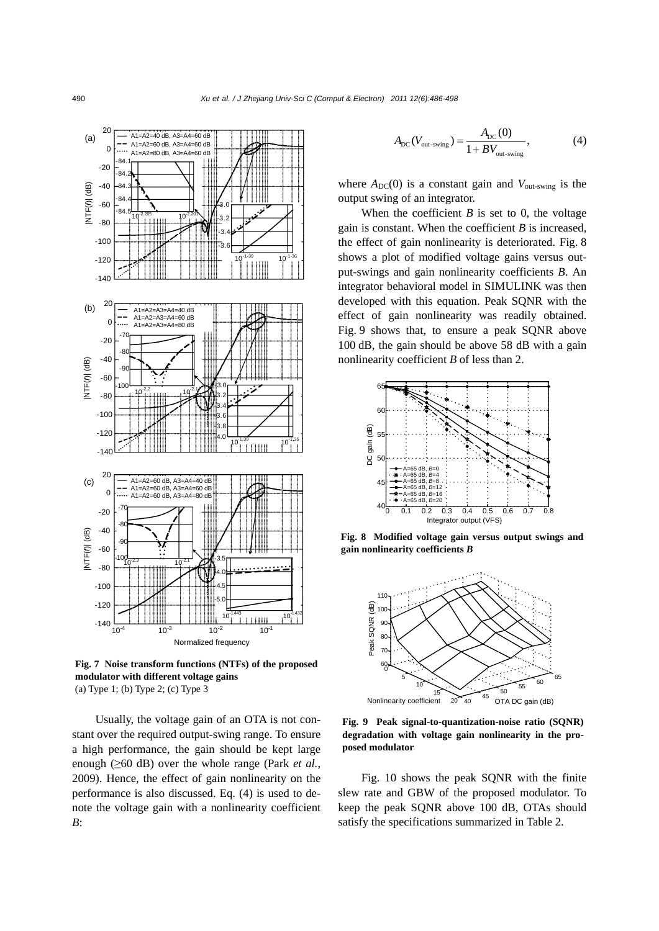

**Fig. 7 Noise transform functions (NTFs) of the proposed modulator with different voltage gains**  (a) Type 1; (b) Type 2; (c) Type 3

Usually, the voltage gain of an OTA is not constant over the required output-swing range. To ensure a high performance, the gain should be kept large enough (≥60 dB) over the whole range (Park *et al.*, 2009). Hence, the effect of gain nonlinearity on the performance is also discussed. Eq. (4) is used to denote the voltage gain with a nonlinearity coefficient *B*:

$$
A_{\rm DC}(V_{\rm out-swing}) = \frac{A_{\rm DC}(0)}{1 + BV_{\rm out-swing}},\tag{4}
$$

where  $A_{DC}(0)$  is a constant gain and  $V_{out-swing}$  is the output swing of an integrator.

When the coefficient  $B$  is set to 0, the voltage gain is constant. When the coefficient *B* is increased, the effect of gain nonlinearity is deteriorated. Fig. 8 shows a plot of modified voltage gains versus output-swings and gain nonlinearity coefficients *B*. An integrator behavioral model in SIMULINK was then developed with this equation. Peak SQNR with the effect of gain nonlinearity was readily obtained. Fig. 9 shows that, to ensure a peak SQNR above 100 dB, the gain should be above 58 dB with a gain nonlinearity coefficient *B* of less than 2.



**Fig. 8 Modified voltage gain versus output swings and gain nonlinearity coefficients** *B*



**Fig. 9 Peak signal-to-quantization-noise ratio (SQNR) degradation with voltage gain nonlinearity in the proposed modulator**

Fig. 10 shows the peak SQNR with the finite slew rate and GBW of the proposed modulator. To keep the peak SQNR above 100 dB, OTAs should satisfy the specifications summarized in Table 2.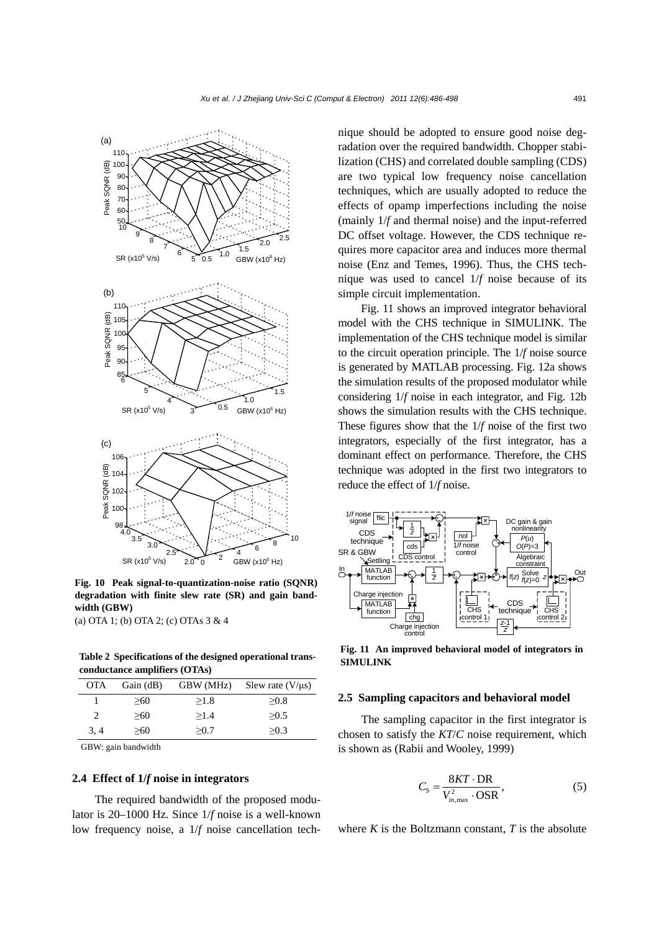

**Fig. 10 Peak signal-to-quantization-noise ratio (SQNR) degradation with finite slew rate (SR) and gain bandwidth (GBW)** 

(a) OTA 1; (b) OTA 2; (c) OTAs 3 & 4

**Table 2 Specifications of the designed operational transconductance amplifiers (OTAs)**

| <b>OTA</b>             | Gain $(dB)$ | GBW (MHz) | Slew rate $(V/\mu s)$ |
|------------------------|-------------|-----------|-----------------------|
|                        | >60         | >1.8      | >0.8                  |
| $\mathfrak{D}_{\cdot}$ | >60         | >1.4      | >0.5                  |
| 3, 4                   | >60         | >0.7      | >0.3                  |

GBW: gain bandwidth

# **2.4 Effect of 1/***f* **noise in integrators**

The required bandwidth of the proposed modulator is 20–1000 Hz. Since 1/*f* noise is a well-known low frequency noise, a 1/*f* noise cancellation technique should be adopted to ensure good noise degradation over the required bandwidth. Chopper stabilization (CHS) and correlated double sampling (CDS) are two typical low frequency noise cancellation techniques, which are usually adopted to reduce the effects of opamp imperfections including the noise (mainly 1/*f* and thermal noise) and the input-referred DC offset voltage. However, the CDS technique requires more capacitor area and induces more thermal noise (Enz and Temes, 1996). Thus, the CHS technique was used to cancel 1/*f* noise because of its simple circuit implementation.

Fig. 11 shows an improved integrator behavioral model with the CHS technique in SIMULINK. The implementation of the CHS technique model is similar to the circuit operation principle. The 1/*f* noise source is generated by MATLAB processing. Fig. 12a shows the simulation results of the proposed modulator while considering 1/*f* noise in each integrator, and Fig. 12b shows the simulation results with the CHS technique. These figures show that the 1/*f* noise of the first two integrators, especially of the first integrator, has a dominant effect on performance. Therefore, the CHS technique was adopted in the first two integrators to reduce the effect of 1/*f* noise.



**Fig. 11 An improved behavioral model of integrators in SIMULINK**

#### **2.5 Sampling capacitors and behavioral model**

The sampling capacitor in the first integrator is chosen to satisfy the *KT*/*C* noise requirement, which is shown as (Rabii and Wooley, 1999)

$$
C_{\rm S} = \frac{8KT \cdot \text{DR}}{V_{\rm in,max}^2 \cdot \text{OSR}},\tag{5}
$$

where  $K$  is the Boltzmann constant,  $T$  is the absolute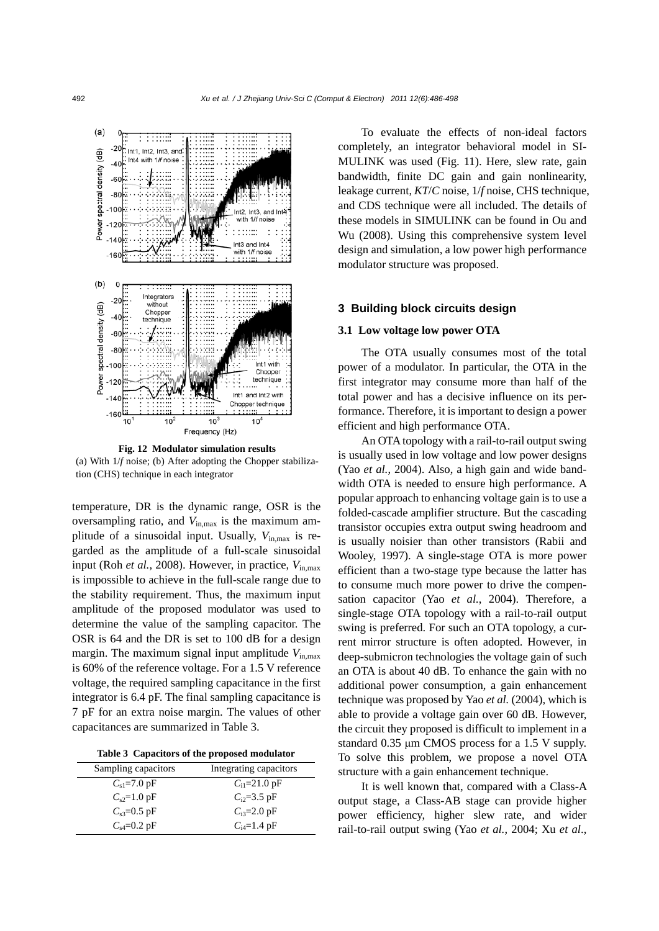

**Fig. 12 Modulator simulation results**  (a) With 1/*f* noise; (b) After adopting the Chopper stabilization (CHS) technique in each integrator

temperature, DR is the dynamic range, OSR is the oversampling ratio, and *V*in,max is the maximum amplitude of a sinusoidal input. Usually, *V*in,max is regarded as the amplitude of a full-scale sinusoidal input (Roh *et al.*, 2008). However, in practice, *V*in,max is impossible to achieve in the full-scale range due to the stability requirement. Thus, the maximum input amplitude of the proposed modulator was used to determine the value of the sampling capacitor. The OSR is 64 and the DR is set to 100 dB for a design margin. The maximum signal input amplitude  $V_{\text{in,max}}$ is 60% of the reference voltage. For a 1.5 V reference voltage, the required sampling capacitance in the first integrator is 6.4 pF. The final sampling capacitance is 7 pF for an extra noise margin. The values of other capacitances are summarized in Table 3.

**Table 3 Capacitors of the proposed modulator**

| Sampling capacitors       | Integrating capacitors    |
|---------------------------|---------------------------|
| $C_{s1} = 7.0 \text{ pF}$ | $C_{11}=21.0 \text{ pF}$  |
| $C_{s2} = 1.0$ pF         | $C_{i2} = 3.5$ pF         |
| $C_{s3} = 0.5$ pF         | $C_{i3} = 2.0 \text{ pF}$ |
| $C_{\rm s4} = 0.2$ pF     | $C_{i4} = 1.4$ pF         |

To evaluate the effects of non-ideal factors completely, an integrator behavioral model in SI-MULINK was used (Fig. 11). Here, slew rate, gain bandwidth, finite DC gain and gain nonlinearity, leakage current, *KT*/*C* noise, 1/*f* noise, CHS technique, and CDS technique were all included. The details of these models in SIMULINK can be found in Ou and Wu (2008). Using this comprehensive system level design and simulation, a low power high performance modulator structure was proposed.

## **3 Building block circuits design**

#### **3.1 Low voltage low power OTA**

The OTA usually consumes most of the total power of a modulator. In particular, the OTA in the first integrator may consume more than half of the total power and has a decisive influence on its performance. Therefore, it is important to design a power efficient and high performance OTA.

An OTA topology with a rail-to-rail output swing is usually used in low voltage and low power designs (Yao *et al.*, 2004). Also, a high gain and wide bandwidth OTA is needed to ensure high performance. A popular approach to enhancing voltage gain is to use a folded-cascade amplifier structure. But the cascading transistor occupies extra output swing headroom and is usually noisier than other transistors (Rabii and Wooley, 1997). A single-stage OTA is more power efficient than a two-stage type because the latter has to consume much more power to drive the compensation capacitor (Yao *et al.*, 2004). Therefore, a single-stage OTA topology with a rail-to-rail output swing is preferred. For such an OTA topology, a current mirror structure is often adopted. However, in deep-submicron technologies the voltage gain of such an OTA is about 40 dB. To enhance the gain with no additional power consumption, a gain enhancement technique was proposed by Yao *et al.* (2004), which is able to provide a voltage gain over 60 dB. However, the circuit they proposed is difficult to implement in a standard 0.35 μm CMOS process for a 1.5 V supply. To solve this problem, we propose a novel OTA structure with a gain enhancement technique.

It is well known that, compared with a Class-A output stage, a Class-AB stage can provide higher power efficiency, higher slew rate, and wider rail-to-rail output swing (Yao *et al.*, 2004; Xu *et al*.,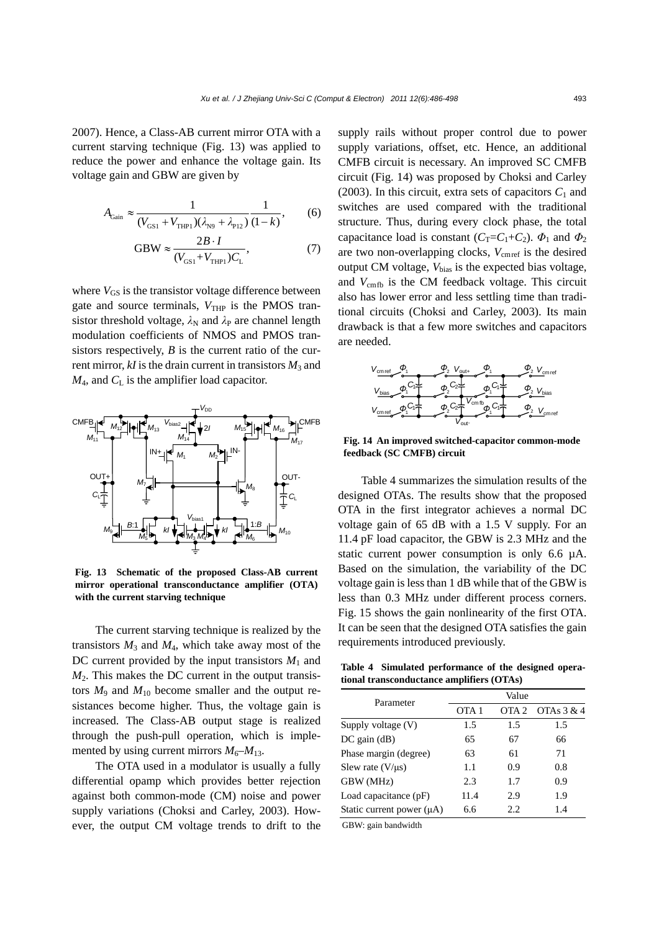2007). Hence, a Class-AB current mirror OTA with a current starving technique (Fig. 13) was applied to reduce the power and enhance the voltage gain. Its voltage gain and GBW are given by

$$
A_{\text{Gain}} \approx \frac{1}{(V_{\text{GSI}} + V_{\text{THP1}})(\lambda_{\text{N9}} + \lambda_{\text{P12}})} \frac{1}{(1 - k)},
$$
 (6)

GBW 
$$
\approx \frac{2B \cdot I}{(V_{\text{GSI}} + V_{\text{THP1}})C_{\text{L}}},
$$
 (7)

where  $V_{GS}$  is the transistor voltage difference between gate and source terminals,  $V_{\text{THP}}$  is the PMOS transistor threshold voltage,  $\lambda_N$  and  $\lambda_P$  are channel length modulation coefficients of NMOS and PMOS transistors respectively, *B* is the current ratio of the current mirror,  $kI$  is the drain current in transistors  $M_3$  and  $M_4$ , and  $C_L$  is the amplifier load capacitor.



**Fig. 13 Schematic of the proposed Class-AB current mirror operational transconductance amplifier (OTA) with the current starving technique** 

The current starving technique is realized by the transistors  $M_3$  and  $M_4$ , which take away most of the DC current provided by the input transistors  $M_1$  and  $M<sub>2</sub>$ . This makes the DC current in the output transistors  $M_9$  and  $M_{10}$  become smaller and the output resistances become higher. Thus, the voltage gain is increased. The Class-AB output stage is realized through the push-pull operation, which is implemented by using current mirrors  $M_6$ – $M_{13}$ .

The OTA used in a modulator is usually a fully differential opamp which provides better rejection against both common-mode (CM) noise and power supply variations (Choksi and Carley, 2003). However, the output CM voltage trends to drift to the supply rails without proper control due to power supply variations, offset, etc. Hence, an additional CMFB circuit is necessary. An improved SC CMFB circuit (Fig. 14) was proposed by Choksi and Carley (2003). In this circuit, extra sets of capacitors  $C_1$  and switches are used compared with the traditional structure. Thus, during every clock phase, the total capacitance load is constant ( $C_T = C_1 + C_2$ ).  $\Phi_1$  and  $\Phi_2$ are two non-overlapping clocks,  $V_{\text{cmref}}$  is the desired output CM voltage,  $V_{bias}$  is the expected bias voltage, and  $V_{\text{cmb}}$  is the CM feedback voltage. This circuit also has lower error and less settling time than traditional circuits (Choksi and Carley, 2003). Its main drawback is that a few more switches and capacitors are needed.



**Fig. 14 An improved switched-capacitor common-mode feedback (SC CMFB) circuit** 

Table 4 summarizes the simulation results of the designed OTAs. The results show that the proposed OTA in the first integrator achieves a normal DC voltage gain of 65 dB with a 1.5 V supply. For an 11.4 pF load capacitor, the GBW is 2.3 MHz and the static current power consumption is only 6.6 µA. Based on the simulation, the variability of the DC voltage gain is less than 1 dB while that of the GBW is less than 0.3 MHz under different process corners. Fig. 15 shows the gain nonlinearity of the first OTA. It can be seen that the designed OTA satisfies the gain requirements introduced previously.

**Table 4 Simulated performance of the designed operational transconductance amplifiers (OTAs)**

| Value |                  |              |  |
|-------|------------------|--------------|--|
| OTA 1 | OTA <sub>2</sub> | OTAs $3 & 4$ |  |
| 1.5   | 1.5              | 1.5          |  |
| 65    | 67               | 66           |  |
| 63    | 61               | 71           |  |
| 1.1   | 0.9              | 0.8          |  |
| 2.3   | 1.7              | 0.9          |  |
| 11.4  | 2.9              | 1.9          |  |
| 6.6   | 2.2.             | 1.4          |  |
|       |                  |              |  |

GBW: gain bandwidth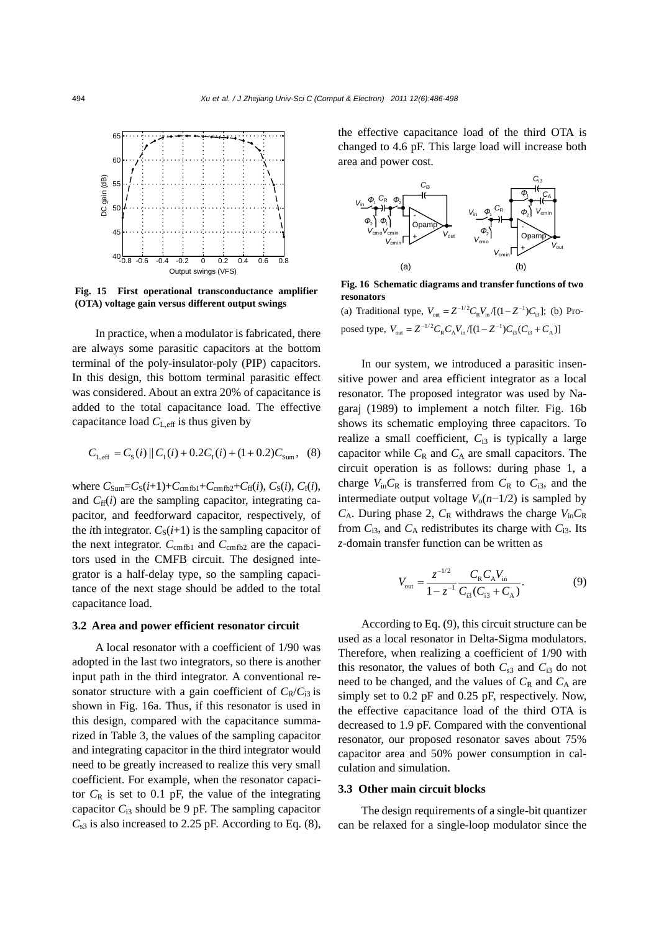

**Fig. 15 First operational transconductance amplifier (OTA) voltage gain versus different output swings**

In practice, when a modulator is fabricated, there are always some parasitic capacitors at the bottom terminal of the poly-insulator-poly (PIP) capacitors. In this design, this bottom terminal parasitic effect was considered. About an extra 20% of capacitance is added to the total capacitance load. The effective capacitance load  $C_{L,eff}$  is thus given by

$$
C_{L,eff} = C_{S}(i) || C_{I}(i) + 0.2C_{I}(i) + (1 + 0.2)C_{Sum}, (8)
$$

where  $C_{Sum} = C_S(i+1) + C_{cmfb1} + C_{cmfb2} + C_{ff}(i), C_S(i), C_I(i),$ and  $C_{\text{ff}}(i)$  are the sampling capacitor, integrating capacitor, and feedforward capacitor, respectively, of the *i*th integrator.  $C_S(i+1)$  is the sampling capacitor of the next integrator.  $C_{\text{cmfb1}}$  and  $C_{\text{cmfb2}}$  are the capacitors used in the CMFB circuit. The designed integrator is a half-delay type, so the sampling capacitance of the next stage should be added to the total capacitance load.

#### **3.2 Area and power efficient resonator circuit**

A local resonator with a coefficient of 1/90 was adopted in the last two integrators, so there is another input path in the third integrator. A conventional resonator structure with a gain coefficient of  $C_R/C_{13}$  is shown in Fig. 16a. Thus, if this resonator is used in this design, compared with the capacitance summarized in Table 3, the values of the sampling capacitor and integrating capacitor in the third integrator would need to be greatly increased to realize this very small coefficient. For example, when the resonator capacitor  $C_R$  is set to 0.1 pF, the value of the integrating capacitor  $C_{i3}$  should be 9 pF. The sampling capacitor  $C_{s3}$  is also increased to 2.25 pF. According to Eq. (8), the effective capacitance load of the third OTA is changed to 4.6 pF. This large load will increase both area and power cost.



**Fig. 16 Schematic diagrams and transfer functions of two resonators** 

(a) Traditional type,  $V_{\text{out}} = Z^{-1/2} C_R V_{\text{in}} / [(1 - Z^{-1}) C_{13}]$ ; (b) Proposed type,  $V_{\text{out}} = Z^{-1/2} C_{\text{R}} C_{\text{A}} V_{\text{in}} / [(1 - Z^{-1}) C_{13} (C_{13} + C_{\text{A}})]$ 

In our system, we introduced a parasitic insensitive power and area efficient integrator as a local resonator. The proposed integrator was used by Nagaraj (1989) to implement a notch filter. Fig. 16b shows its schematic employing three capacitors. To realize a small coefficient,  $C_{i3}$  is typically a large capacitor while  $C_R$  and  $C_A$  are small capacitors. The circuit operation is as follows: during phase 1, a charge  $V_{\text{in}}C_{\text{R}}$  is transferred from  $C_{\text{R}}$  to  $C_{\text{i3}}$ , and the intermediate output voltage  $V_0(n-1/2)$  is sampled by  $C_A$ . During phase 2,  $C_R$  withdraws the charge  $V_{in}C_R$ from  $C_{i3}$ , and  $C_A$  redistributes its charge with  $C_{i3}$ . Its *z*-domain transfer function can be written as

$$
V_{\text{out}} = \frac{z^{-1/2}}{1 - z^{-1}} \frac{C_{\text{R}} C_{\text{A}} V_{\text{in}}}{C_{13} (C_{13} + C_{\text{A}})}.
$$
(9)

According to Eq. (9), this circuit structure can be used as a local resonator in Delta-Sigma modulators. Therefore, when realizing a coefficient of 1/90 with this resonator, the values of both  $C_{s3}$  and  $C_{i3}$  do not need to be changed, and the values of  $C_R$  and  $C_A$  are simply set to 0.2 pF and 0.25 pF, respectively. Now, the effective capacitance load of the third OTA is decreased to 1.9 pF. Compared with the conventional resonator, our proposed resonator saves about 75% capacitor area and 50% power consumption in calculation and simulation.

#### **3.3 Other main circuit blocks**

The design requirements of a single-bit quantizer can be relaxed for a single-loop modulator since the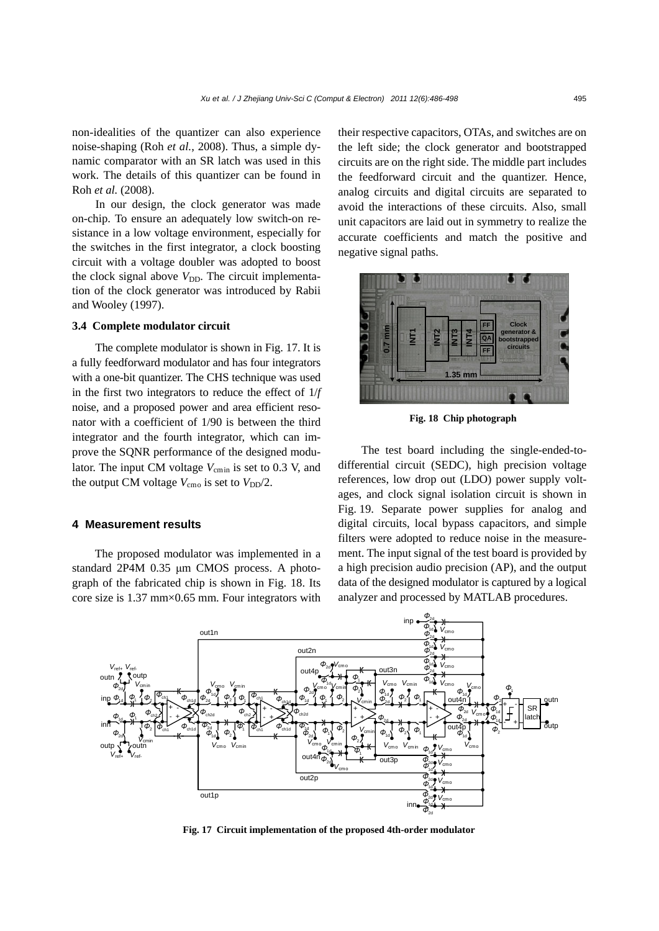non-idealities of the quantizer can also experience noise-shaping (Roh *et al.*, 2008). Thus, a simple dynamic comparator with an SR latch was used in this work. The details of this quantizer can be found in Roh *et al.* (2008).

In our design, the clock generator was made on-chip. To ensure an adequately low switch-on resistance in a low voltage environment, especially for the switches in the first integrator, a clock boosting circuit with a voltage doubler was adopted to boost the clock signal above  $V_{\text{DD}}$ . The circuit implementation of the clock generator was introduced by Rabii and Wooley (1997).

# **3.4 Complete modulator circuit**

The complete modulator is shown in Fig. 17. It is a fully feedforward modulator and has four integrators with a one-bit quantizer. The CHS technique was used in the first two integrators to reduce the effect of 1/*f* noise, and a proposed power and area efficient resonator with a coefficient of 1/90 is between the third integrator and the fourth integrator, which can improve the SQNR performance of the designed modulator. The input CM voltage  $V_{\text{cmin}}$  is set to 0.3 V, and the output CM voltage  $V_{\text{cmo}}$  is set to  $V_{\text{DD}}/2$ .

#### **4 Measurement results**

The proposed modulator was implemented in a standard 2P4M 0.35 μm CMOS process. A photograph of the fabricated chip is shown in Fig. 18. Its core size is 1.37 mm×0.65 mm. Four integrators with

their respective capacitors, OTAs, and switches are on the left side; the clock generator and bootstrapped circuits are on the right side. The middle part includes the feedforward circuit and the quantizer. Hence, analog circuits and digital circuits are separated to avoid the interactions of these circuits. Also, small unit capacitors are laid out in symmetry to realize the accurate coefficients and match the positive and negative signal paths.



**Fig. 18 Chip photograph**

The test board including the single-ended-todifferential circuit (SEDC), high precision voltage references, low drop out (LDO) power supply voltages, and clock signal isolation circuit is shown in Fig. 19. Separate power supplies for analog and digital circuits, local bypass capacitors, and simple filters were adopted to reduce noise in the measurement. The input signal of the test board is provided by a high precision audio precision (AP), and the output data of the designed modulator is captured by a logical **EXAMPLE 1.35 mm**<br> **EXAMPLE 1.35 mm**<br> **EXAMPLE 1.35 mm**<br> **EXAMPLE 1.35 mm**<br> **EXAMPLE 1.35 mm**<br> **EXAMPLE 1.35 mm**<br> **EXAMPLE 1.35 mm**<br> **EXAMPLE 1.35 mm**<br> **EXAMPLE 1.35 mm**<br> **EXAMPLE 1.35 mm**<br> **EXAMPLE 1.35 mm**<br> **EXAMPLE 1.3** 



**Fig. 17 Circuit implementation of the proposed 4th-order modulator**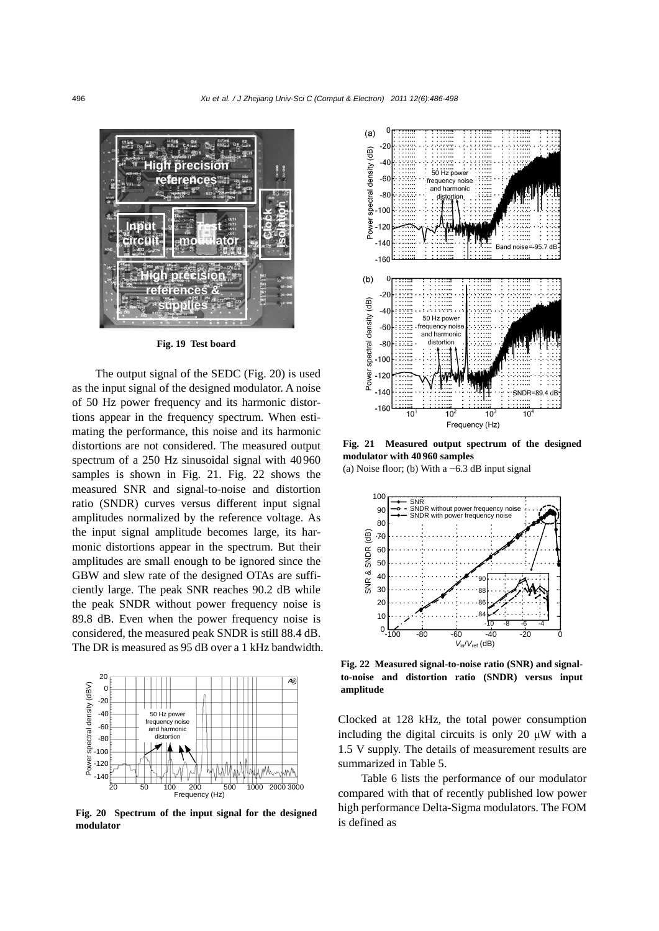

**Fig. 19 Test board**

The output signal of the SEDC (Fig. 20) is used as the input signal of the designed modulator. A noise of 50 Hz power frequency and its harmonic distortions appear in the frequency spectrum. When estimating the performance, this noise and its harmonic distortions are not considered. The measured output spectrum of a 250 Hz sinusoidal signal with 40960 samples is shown in Fig. 21. Fig. 22 shows the measured SNR and signal-to-noise and distortion ratio (SNDR) curves versus different input signal amplitudes normalized by the reference voltage. As the input signal amplitude becomes large, its harmonic distortions appear in the spectrum. But their amplitudes are small enough to be ignored since the GBW and slew rate of the designed OTAs are sufficiently large. The peak SNR reaches 90.2 dB while the peak SNDR without power frequency noise is 89.8 dB. Even when the power frequency noise is considered, the measured peak SNDR is still 88.4 dB. The DR is measured as 95 dB over a 1 kHz bandwidth.



**Fig. 20 Spectrum of the input signal for the designed modulator**



**Fig. 21 Measured output spectrum of the designed modulator with 40 960 samples** 

(a) Noise floor; (b) With a −6.3 dB input signal



**Fig. 22 Measured signal-to-noise ratio (SNR) and signalto-noise and distortion ratio (SNDR) versus input amplitude**

Clocked at 128 kHz, the total power consumption including the digital circuits is only 20  $\mu$ W with a 1.5 V supply. The details of measurement results are summarized in Table 5.

Table 6 lists the performance of our modulator compared with that of recently published low power high performance Delta-Sigma modulators. The FOM is defined as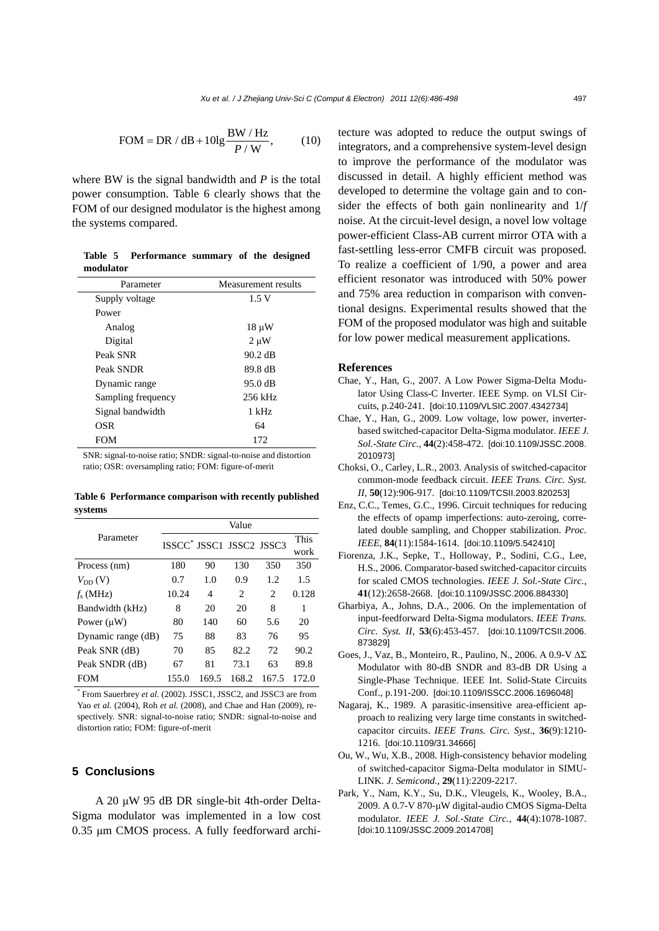$$
FOM = DR / dB + 10lg \frac{BW / Hz}{P / W},
$$
 (10)

where BW is the signal bandwidth and *P* is the total power consumption. Table 6 clearly shows that the FOM of our designed modulator is the highest among the systems compared.

|           | Table 5 Performance summary of the designed |  |  |
|-----------|---------------------------------------------|--|--|
| modulator |                                             |  |  |

| Parameter          | Measurement results |
|--------------------|---------------------|
| Supply voltage     | 1.5V                |
| Power              |                     |
| Analog             | $18 \mu W$          |
| Digital            | $2 \mu W$           |
| Peak SNR           | $90.2$ dB           |
| Peak SNDR          | 89.8 dB             |
| Dynamic range      | 95.0 dB             |
| Sampling frequency | 256 kHz             |
| Signal bandwidth   | 1 kHz               |
| OSR                | 64                  |
| <b>FOM</b>         | 172                 |

SNR: signal-to-noise ratio; SNDR: signal-to-noise and distortion ratio; OSR: oversampling ratio; FOM: figure-of-merit

**Table 6 Performance comparison with recently published systems**

|                    | Value                                |       |                             |                             |       |
|--------------------|--------------------------------------|-------|-----------------------------|-----------------------------|-------|
| Parameter          | ISSCC <sup>*</sup> JSSC1 JSSC2 JSSC3 |       |                             |                             | This  |
|                    |                                      |       |                             |                             | work  |
| Process (nm)       | 180                                  | 90    | 130                         | 350                         | 350   |
| $V_{\text{DD}}(V)$ | 0.7                                  | 1.0   | 0.9                         | 1.2                         | 1.5   |
| $f_s$ (MHz)        | 10.24                                | 4     | $\mathcal{D}_{\mathcal{L}}$ | $\mathcal{D}_{\mathcal{L}}$ | 0.128 |
| Bandwidth (kHz)    | 8                                    | 20    | 20                          | 8                           | 1     |
| Power $(\mu W)$    | 80                                   | 140   | 60                          | 5.6                         | 20    |
| Dynamic range (dB) | 75                                   | 88    | 83                          | 76                          | 95    |
| Peak SNR (dB)      | 70                                   | 85    | 82.2                        | 72                          | 90.2  |
| Peak SNDR (dB)     | 67                                   | 81    | 73.1                        | 63                          | 89.8  |
| <b>FOM</b>         | 155.0                                | 169.5 | 168.2                       | 167.5                       | 172.0 |

\* From Sauerbrey *et al.* (2002). JSSC1, JSSC2, and JSSC3 are from Yao *et al.* (2004), Roh *et al.* (2008), and Chae and Han (2009), respectively. SNR: signal-to-noise ratio; SNDR: signal-to-noise and distortion ratio; FOM: figure-of-merit

# **5 Conclusions**

A 20 μW 95 dB DR single-bit 4th-order Delta-Sigma modulator was implemented in a low cost 0.35 μm CMOS process. A fully feedforward architecture was adopted to reduce the output swings of integrators, and a comprehensive system-level design to improve the performance of the modulator was discussed in detail. A highly efficient method was developed to determine the voltage gain and to consider the effects of both gain nonlinearity and 1/*f*  noise. At the circuit-level design, a novel low voltage power-efficient Class-AB current mirror OTA with a fast-settling less-error CMFB circuit was proposed. To realize a coefficient of 1/90, a power and area efficient resonator was introduced with 50% power and 75% area reduction in comparison with conventional designs. Experimental results showed that the FOM of the proposed modulator was high and suitable for low power medical measurement applications.

#### **References**

- Chae, Y., Han, G., 2007. A Low Power Sigma-Delta Modulator Using Class-C Inverter. IEEE Symp. on VLSI Circuits, p.240-241. [doi:10.1109/VLSIC.2007.4342734]
- Chae, Y., Han, G., 2009. Low voltage, low power, inverterbased switched-capacitor Delta-Sigma modulator. *IEEE J. Sol.-State Circ.*, **44**(2):458-472. [doi:10.1109/JSSC.2008. 2010973]
- Choksi, O., Carley, L.R., 2003. Analysis of switched-capacitor common-mode feedback circuit. *IEEE Trans. Circ. Syst. II*, **50**(12):906-917. [doi:10.1109/TCSII.2003.820253]
- Enz, C.C., Temes, G.C., 1996. Circuit techniques for reducing the effects of opamp imperfections: auto-zeroing, correlated double sampling, and Chopper stabilization. *Proc. IEEE*, **84**(11):1584-1614. [doi:10.1109/5.542410]
- Fiorenza, J.K., Sepke, T., Holloway, P., Sodini, C.G., Lee, H.S., 2006. Comparator-based switched-capacitor circuits for scaled CMOS technologies. *IEEE J. Sol.-State Circ.*, **41**(12):2658-2668. [doi:10.1109/JSSC.2006.884330]
- Gharbiya, A., Johns, D.A., 2006. On the implementation of input-feedforward Delta-Sigma modulators. *IEEE Trans. Circ. Syst. II*, **53**(6):453-457. [doi:10.1109/TCSII.2006. 873829]
- Goes, J., Vaz, B., Monteiro, R., Paulino, N., 2006. A 0.9-V ΔΣ Modulator with 80-dB SNDR and 83-dB DR Using a Single-Phase Technique. IEEE Int. Solid-State Circuits Conf., p.191-200. [doi:10.1109/ISSCC.2006.1696048]
- Nagaraj, K., 1989. A parasitic-insensitive area-efficient approach to realizing very large time constants in switchedcapacitor circuits. *IEEE Trans. Circ. Syst*., **36**(9):1210- 1216. [doi:10.1109/31.34666]
- Ou, W., Wu, X.B., 2008. High-consistency behavior modeling of switched-capacitor Sigma-Delta modulator in SIMU-LINK. *J. Semicond.*, **29**(11):2209-2217.
- Park, Y., Nam, K.Y., Su, D.K., Vleugels, K., Wooley, B.A., 2009. A 0.7-V 870-μW digital-audio CMOS Sigma-Delta modulator. *IEEE J. Sol.-State Circ.*, **44**(4):1078-1087. [doi:10.1109/JSSC.2009.2014708]